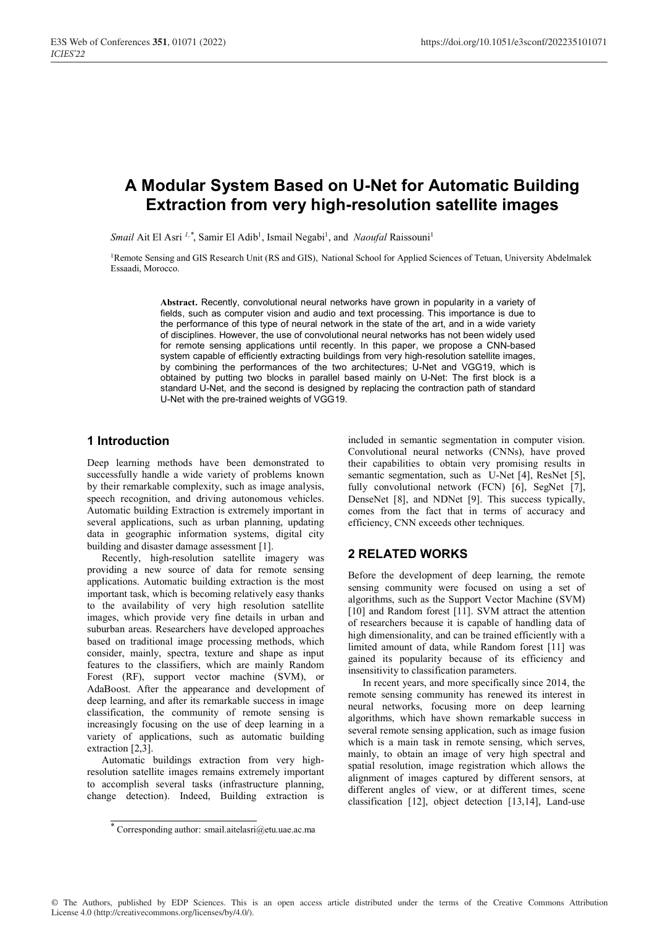# **A Modular System Based on U-Net for Automatic Building Extraction from very high-resolution satellite images**

*Smail* Ait El Asri<sup>1,\*</sup>, Samir El Adib<sup>1</sup>, Ismail Negabi<sup>1</sup>, and *Naoufal* Raissouni<sup>1</sup>

<sup>1</sup>Remote Sensing and GIS Research Unit (RS and GIS), National School for Applied Sciences of Tetuan, University Abdelmalek Essaadi, Morocco.

> **Abstract.** Recently, convolutional neural networks have grown in popularity in a variety of fields, such as computer vision and audio and text processing. This importance is due to the performance of this type of neural network in the state of the art, and in a wide variety of disciplines. However, the use of convolutional neural networks has not been widely used for remote sensing applications until recently. In this paper, we propose a CNN-based system capable of efficiently extracting buildings from very high-resolution satellite images, by combining the performances of the two architectures; U-Net and VGG19, which is obtained by putting two blocks in parallel based mainly on U-Net: The first block is a standard U-Net, and the second is designed by replacing the contraction path of standard U-Net with the pre-trained weights of VGG19.

#### **1 Introduction**

Deep learning methods have been demonstrated to successfully handle a wide variety of problems known by their remarkable complexity, such as image analysis, speech recognition, and driving autonomous vehicles. Automatic building Extraction is extremely important in several applications, such as urban planning, updating data in geographic information systems, digital city building and disaster damage assessment [1].

Recently, high-resolution satellite imagery was providing a new source of data for remote sensing applications. Automatic building extraction is the most important task, which is becoming relatively easy thanks to the availability of very high resolution satellite images, which provide very fine details in urban and suburban areas. Researchers have developed approaches based on traditional image processing methods, which consider, mainly, spectra, texture and shape as input features to the classifiers, which are mainly Random Forest (RF), support vector machine (SVM), or AdaBoost. After the appearance and development of deep learning, and after its remarkable success in image classification, the community of remote sensing is increasingly focusing on the use of deep learning in a variety of applications, such as automatic building extraction [2,3].

Automatic buildings extraction from very highresolution satellite images remains extremely important to accomplish several tasks (infrastructure planning, change detection). Indeed, Building extraction is included in semantic segmentation in computer vision. Convolutional neural networks (CNNs), have proved their capabilities to obtain very promising results in semantic segmentation, such as U-Net [4], ResNet [5], fully convolutional network (FCN) [6], SegNet [7], DenseNet [8], and NDNet [9]. This success typically, comes from the fact that in terms of accuracy and efficiency, CNN exceeds other techniques.

#### **2 RELATED WORKS**

Before the development of deep learning, the remote sensing community were focused on using a set of algorithms, such as the Support Vector Machine (SVM) [10] and Random forest [11]. SVM attract the attention of researchers because it is capable of handling data of high dimensionality, and can be trained efficiently with a limited amount of data, while Random forest [11] was gained its popularity because of its efficiency and insensitivity to classification parameters.

In recent years, and more specifically since 2014, the remote sensing community has renewed its interest in neural networks, focusing more on deep learning algorithms, which have shown remarkable success in several remote sensing application, such as image fusion which is a main task in remote sensing, which serves, mainly, to obtain an image of very high spectral and spatial resolution, image registration which allows the alignment of images captured by different sensors, at different angles of view, or at different times, scene classification [12], object detection [13,14], Land-use

<sup>\*</sup> Corresponding author: smail.aitelasri@etu.uae.ac.ma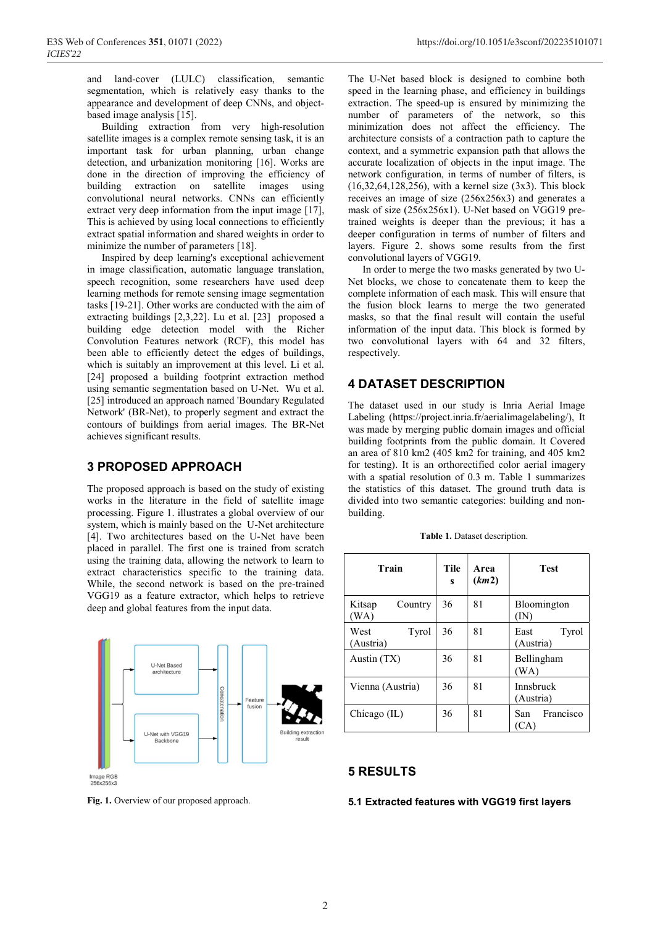and land-cover (LULC) classification, semantic segmentation, which is relatively easy thanks to the appearance and development of deep CNNs, and objectbased image analysis [15].

Building extraction from very high-resolution satellite images is a complex remote sensing task, it is an important task for urban planning, urban change detection, and urbanization monitoring [16]. Works are done in the direction of improving the efficiency of building extraction on satellite images using convolutional neural networks. CNNs can efficiently extract very deep information from the input image [17], This is achieved by using local connections to efficiently extract spatial information and shared weights in order to minimize the number of parameters [18].

Inspired by deep learning's exceptional achievement in image classification, automatic language translation, speech recognition, some researchers have used deep learning methods for remote sensing image segmentation tasks [19-21]. Other works are conducted with the aim of extracting buildings [2,3,22]. Lu et al. [23] proposed a building edge detection model with the Richer Convolution Features network (RCF), this model has been able to efficiently detect the edges of buildings, which is suitably an improvement at this level. Li et al. [24] proposed a building footprint extraction method using semantic segmentation based on U-Net. Wu et al. [25] introduced an approach named 'Boundary Regulated Network' (BR-Net), to properly segment and extract the contours of buildings from aerial images. The BR-Net achieves significant results.

## **3 PROPOSED APPROACH**

The proposed approach is based on the study of existing works in the literature in the field of satellite image processing. Figure 1. illustrates a global overview of our system, which is mainly based on the U-Net architecture [4]. Two architectures based on the U-Net have been placed in parallel. The first one is trained from scratch using the training data, allowing the network to learn to extract characteristics specific to the training data. While, the second network is based on the pre-trained VGG19 as a feature extractor, which helps to retrieve deep and global features from the input data.





The U-Net based block is designed to combine both speed in the learning phase, and efficiency in buildings extraction. The speed-up is ensured by minimizing the number of parameters of the network, so this minimization does not affect the efficiency. The architecture consists of a contraction path to capture the context, and a symmetric expansion path that allows the accurate localization of objects in the input image. The network configuration, in terms of number of filters, is (16,32,64,128,256), with a kernel size (3x3). This block receives an image of size (256x256x3) and generates a mask of size (256x256x1). U-Net based on VGG19 pretrained weights is deeper than the previous; it has a deeper configuration in terms of number of filters and layers. Figure 2. shows some results from the first convolutional layers of VGG19.

In order to merge the two masks generated by two U-Net blocks, we chose to concatenate them to keep the complete information of each mask. This will ensure that the fusion block learns to merge the two generated masks, so that the final result will contain the useful information of the input data. This block is formed by two convolutional layers with 64 and 32 filters, respectively.

## **4 DATASET DESCRIPTION**

The dataset used in our study is Inria Aerial Image Labeling (https://project.inria.fr/aerialimagelabeling/), It was made by merging public domain images and official building footprints from the public domain. It Covered an area of 810 km2 (405 km2 for training, and 405 km2 for testing). It is an orthorectified color aerial imagery with a spatial resolution of 0.3 m. Table 1 summarizes the statistics of this dataset. The ground truth data is divided into two semantic categories: building and nonbuilding.

| Train                      | Tile<br>S | Area<br>(km2) | <b>Test</b>                |
|----------------------------|-----------|---------------|----------------------------|
| Kitsap<br>Country<br>(WA)  | 36        | 81            | Bloomington<br>(IN)        |
| West<br>Tyrol<br>(Austria) | 36        | 81            | Tyrol<br>East<br>(Austria) |
| Austin (TX)                | 36        | 81            | Bellingham<br>(WA)         |
| Vienna (Austria)           | 36        | 81            | Innsbruck<br>(Austria)     |
| Chicago (IL)               | 36        | 81            | Francisco<br>San<br>(CA)   |

**Table 1.** Dataset description.

#### **5 RESULTS**

#### **5.1 Extracted features with VGG19 first layers**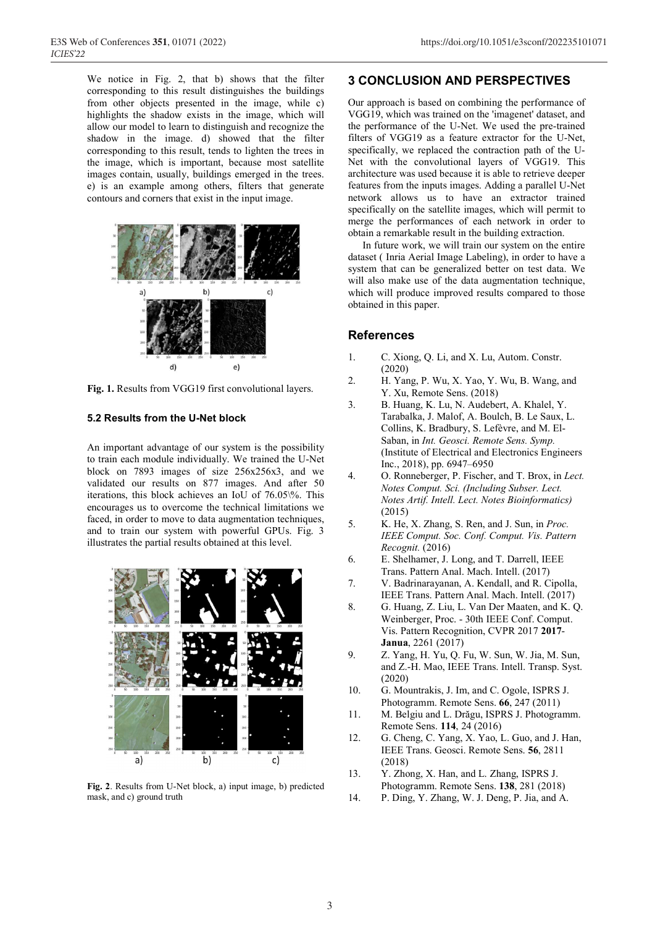We notice in Fig. 2, that b) shows that the filter corresponding to this result distinguishes the buildings from other objects presented in the image, while c) highlights the shadow exists in the image, which will allow our model to learn to distinguish and recognize the shadow in the image. d) showed that the filter corresponding to this result, tends to lighten the trees in the image, which is important, because most satellite images contain, usually, buildings emerged in the trees. e) is an example among others, filters that generate contours and corners that exist in the input image.



**Fig. 1.** Results from VGG19 first convolutional layers.

#### **5.2 Results from the U-Net block**

An important advantage of our system is the possibility to train each module individually. We trained the U-Net block on 7893 images of size 256x256x3, and we validated our results on 877 images. And after 50 iterations, this block achieves an IoU of 76.05\%. This encourages us to overcome the technical limitations we faced, in order to move to data augmentation techniques, and to train our system with powerful GPUs. Fig. 3 illustrates the partial results obtained at this level.



**Fig. 2**. Results from U-Net block, a) input image, b) predicted mask, and c) ground truth

## **3 CONCLUSION AND PERSPECTIVES**

Our approach is based on combining the performance of VGG19, which was trained on the 'imagenet' dataset, and the performance of the U-Net. We used the pre-trained filters of VGG19 as a feature extractor for the U-Net, specifically, we replaced the contraction path of the U-Net with the convolutional layers of VGG19. This architecture was used because it is able to retrieve deeper features from the inputs images. Adding a parallel U-Net network allows us to have an extractor trained specifically on the satellite images, which will permit to merge the performances of each network in order to obtain a remarkable result in the building extraction.

In future work, we will train our system on the entire dataset ( Inria Aerial Image Labeling), in order to have a system that can be generalized better on test data. We will also make use of the data augmentation technique, which will produce improved results compared to those obtained in this paper.

#### **References**

- 1. C. Xiong, Q. Li, and X. Lu, Autom. Constr. (2020)
- 2. H. Yang, P. Wu, X. Yao, Y. Wu, B. Wang, and Y. Xu, Remote Sens. (2018)
- 3. B. Huang, K. Lu, N. Audebert, A. Khalel, Y. Tarabalka, J. Malof, A. Boulch, B. Le Saux, L. Collins, K. Bradbury, S. Lefèvre, and M. El-Saban, in *Int. Geosci. Remote Sens. Symp.* (Institute of Electrical and Electronics Engineers Inc., 2018), pp. 6947–6950
- 4. O. Ronneberger, P. Fischer, and T. Brox, in *Lect. Notes Comput. Sci. (Including Subser. Lect. Notes Artif. Intell. Lect. Notes Bioinformatics)* (2015)
- 5. K. He, X. Zhang, S. Ren, and J. Sun, in *Proc. IEEE Comput. Soc. Conf. Comput. Vis. Pattern Recognit.* (2016)
- 6. E. Shelhamer, J. Long, and T. Darrell, IEEE Trans. Pattern Anal. Mach. Intell. (2017)
- 7. V. Badrinarayanan, A. Kendall, and R. Cipolla, IEEE Trans. Pattern Anal. Mach. Intell. (2017)
- 8. G. Huang, Z. Liu, L. Van Der Maaten, and K. Q. Weinberger, Proc. - 30th IEEE Conf. Comput. Vis. Pattern Recognition, CVPR 2017 **2017**- **Janua**, 2261 (2017)
- 9. Z. Yang, H. Yu, Q. Fu, W. Sun, W. Jia, M. Sun, and Z.-H. Mao, IEEE Trans. Intell. Transp. Syst. (2020)
- 10. G. Mountrakis, J. Im, and C. Ogole, ISPRS J. Photogramm. Remote Sens. **66**, 247 (2011)
- 11. M. Belgiu and L. Drăgu, ISPRS J. Photogramm. Remote Sens. **114**, 24 (2016)
- 12. G. Cheng, C. Yang, X. Yao, L. Guo, and J. Han, IEEE Trans. Geosci. Remote Sens. **56**, 2811 (2018)
- 13. Y. Zhong, X. Han, and L. Zhang, ISPRS J. Photogramm. Remote Sens. **138**, 281 (2018)
- 14. P. Ding, Y. Zhang, W. J. Deng, P. Jia, and A.